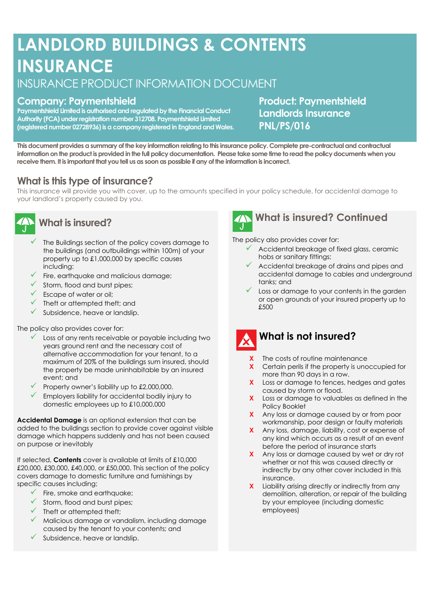# **LANDLORD BUILDINGS & CONTENTS INSURANCE**

# INSURANCE PRODUCT INFORMATION DOCUMENT

## **Company: Paymentshield**

**Paymentshield Limited is authorised and regulated by the Financial Conduct Authority (FCA) under registration number 312708. Paymentshield Limited (registered number 02728936) is a company registered in England and Wales.** **Product: Paymentshield Landlords Insurance PNL/PS/016**

**This document provides a summary of the key information relating to this insurance policy. Complete pre-contractual and contractual information on the product is provided in the full policy documentation. Please take some time to read the policy documents when you receive them. It is important that you tell us as soon as possible if any of the information is incorrect.**

### **What is this type of insurance?**

This insurance will provide you with cover, up to the amounts specified in your policy schedule, for accidental damage to your landlord's property caused by you.



### **What is insured?**

- $\checkmark$  The Buildings section of the policy covers damage to the buildings (and outbuildings within 100m) of your property up to £1,000,000 by specific causes including:
- $\checkmark$  Fire, earthquake and malicious damage;
- ✓ Storm, flood and burst pipes;
- $\checkmark$  Escape of water or oil;
- $\checkmark$  Theft or attempted theft; and
- $\checkmark$  Subsidence, heave or landslip.

The policy also provides cover for:

- ✓ Loss of any rents receivable or payable including two years ground rent and the necessary cost of alternative accommodation for your tenant, to a maximum of 20% of the buildings sum insured, should the property be made uninhabitable by an insured event; and
- $\checkmark$  Property owner's liability up to £2,000,000.
- Employers liability for accidental bodily injury to domestic employees up to £10,000,000

**Accidental Damage** is an optional extension that can be added to the buildings section to provide cover against visible damage which happens suddenly and has not been caused on purpose or inevitably

If selected, **Contents** cover is available at limits of £10,000 £20,000, £30,000, £40,000, or £50,000. This section of the policy covers damage to domestic furniture and furnishings by specific causes including;

- $\checkmark$  Fire, smoke and earthquake:
- ✓ Storm, flood and burst pipes;
- ✓ Theft or attempted theft;
- $\checkmark$  Malicious damage or vandalism, including damage caused by the tenant to your contents; and
- $\checkmark$  Subsidence, heave or landslip.



# **What is insured? Continued**

The policy also provides cover for:

- $\checkmark$  Accidental breakage of fixed glass, ceramic hobs or sanitary fittings;
- $\checkmark$  Accidental breakage of drains and pipes and accidental damage to cables and underground tanks; and
- Loss or damage to your contents in the garden or open grounds of your insured property up to £500



# **What is not insured?**

- The costs of routine maintenance
- **X** Certain perils if the property is unoccupied for more than 90 days in a row.
- **X** Loss or damage to fences, hedges and gates caused by storm or flood.
- **X** Loss or damage to valuables as defined in the Policy Booklet
- **X** Any loss or damage caused by or from poor workmanship, poor design or faulty materials
- **X** Any loss, damage, liability, cost or expense of any kind which occurs as a result of an event before the period of insurance starts
- **X** Any loss or damage caused by wet or dry rot whether or not this was caused directly or indirectly by any other cover included in this insurance.
- **X** Liability arising directly or indirectly from any demolition, alteration, or repair of the building by your employee (including domestic employees)